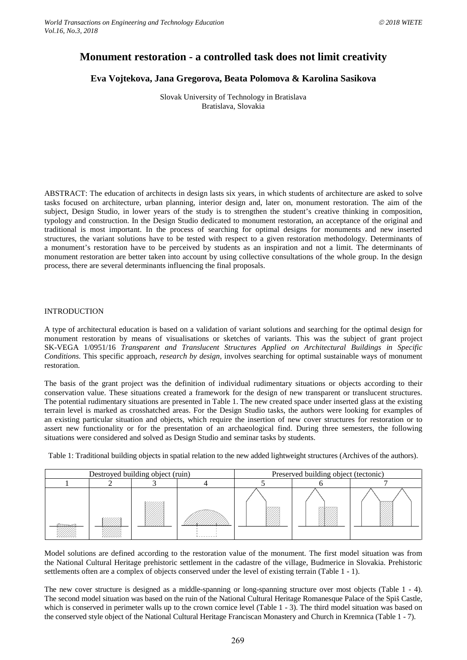# **Monument restoration - a controlled task does not limit creativity**

## **Eva Vojtekova, Jana Gregorova, Beata Polomova & Karolina Sasikova**

Slovak University of Technology in Bratislava Bratislava, Slovakia

ABSTRACT: The education of architects in design lasts six years, in which students of architecture are asked to solve tasks focused on architecture, urban planning, interior design and, later on, monument restoration. The aim of the subject, Design Studio, in lower years of the study is to strengthen the student's creative thinking in composition, typology and construction. In the Design Studio dedicated to monument restoration, an acceptance of the original and traditional is most important. In the process of searching for optimal designs for monuments and new inserted structures, the variant solutions have to be tested with respect to a given restoration methodology. Determinants of a monument's restoration have to be perceived by students as an inspiration and not a limit. The determinants of monument restoration are better taken into account by using collective consultations of the whole group. In the design process, there are several determinants influencing the final proposals.

#### INTRODUCTION

A type of architectural education is based on a validation of variant solutions and searching for the optimal design for monument restoration by means of visualisations or sketches of variants. This was the subject of grant project SK-VEGA 1/0951/16 *Transparent and Translucent Structures Applied on Architectural Buildings in Specific Conditions*. This specific approach, *research by design,* involves searching for optimal sustainable ways of monument restoration.

The basis of the grant project was the definition of individual rudimentary situations or objects according to their conservation value. These situations created a framework for the design of new transparent or translucent structures. The potential rudimentary situations are presented in Table 1. The new created space under inserted glass at the existing terrain level is marked as crosshatched areas. For the Design Studio tasks, the authors were looking for examples of an existing particular situation and objects, which require the insertion of new cover structures for restoration or to assert new functionality or for the presentation of an archaeological find. During three semesters, the following situations were considered and solved as Design Studio and seminar tasks by students.

Table 1: Traditional building objects in spatial relation to the new added lightweight structures (Archives of the authors).

| Destroyed building object (ruin) |  |  |  | Preserved building object (tectonic) |  |  |
|----------------------------------|--|--|--|--------------------------------------|--|--|
|                                  |  |  |  |                                      |  |  |
| $\pi$                            |  |  |  |                                      |  |  |

Model solutions are defined according to the restoration value of the monument. The first model situation was from the National Cultural Heritage prehistoric settlement in the cadastre of the village, Budmerice in Slovakia. Prehistoric settlements often are a complex of objects conserved under the level of existing terrain (Table 1 - 1).

The new cover structure is designed as a middle-spanning or long-spanning structure over most objects (Table 1 - 4). The second model situation was based on the ruin of the National Cultural Heritage Romanesque Palace of the Spiš Castle, which is conserved in perimeter walls up to the crown cornice level (Table 1 - 3). The third model situation was based on the conserved style object of the National Cultural Heritage Franciscan Monastery and Church in Kremnica (Table 1 - 7).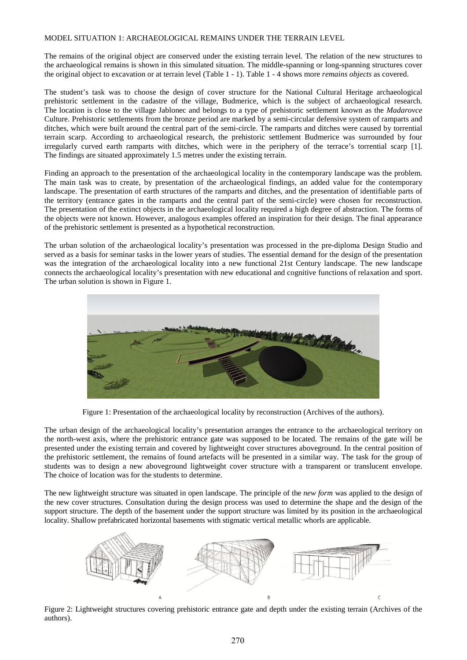### MODEL SITUATION 1: ARCHAEOLOGICAL REMAINS UNDER THE TERRAIN LEVEL

The remains of the original object are conserved under the existing terrain level. The relation of the new structures to the archaeological remains is shown in this simulated situation. The middle-spanning or long-spanning structures cover the original object to excavation or at terrain level (Table 1 - 1). Table 1 - 4 shows more *remains objects* as covered.

The student's task was to choose the design of cover structure for the National Cultural Heritage archaeological prehistoric settlement in the cadastre of the village, Budmerice, which is the subject of archaeological research. The location is close to the village Jablonec and belongs to a type of prehistoric settlement known as the *Madarovce* Culture. Prehistoric settlements from the bronze period are marked by a semi-circular defensive system of ramparts and ditches, which were built around the central part of the semi-circle. The ramparts and ditches were caused by torrential terrain scarp. According to archaeological research, the prehistoric settlement Budmerice was surrounded by four irregularly curved earth ramparts with ditches, which were in the periphery of the terrace's torrential scarp [1]. The findings are situated approximately 1.5 metres under the existing terrain.

Finding an approach to the presentation of the archaeological locality in the contemporary landscape was the problem. The main task was to create, by presentation of the archaeological findings, an added value for the contemporary landscape. The presentation of earth structures of the ramparts and ditches, and the presentation of identifiable parts of the territory (entrance gates in the ramparts and the central part of the semi-circle) were chosen for reconstruction. The presentation of the extinct objects in the archaeological locality required a high degree of abstraction. The forms of the objects were not known. However, analogous examples offered an inspiration for their design. The final appearance of the prehistoric settlement is presented as a hypothetical reconstruction.

The urban solution of the archaeological locality's presentation was processed in the pre-diploma Design Studio and served as a basis for seminar tasks in the lower years of studies. The essential demand for the design of the presentation was the integration of the archaeological locality into a new functional 21st Century landscape. The new landscape connects the archaeological locality's presentation with new educational and cognitive functions of relaxation and sport. The urban solution is shown in Figure 1.



Figure 1: Presentation of the archaeological locality by reconstruction (Archives of the authors).

The urban design of the archaeological locality's presentation arranges the entrance to the archaeological territory on the north-west axis, where the prehistoric entrance gate was supposed to be located. The remains of the gate will be presented under the existing terrain and covered by lightweight cover structures aboveground. In the central position of the prehistoric settlement, the remains of found artefacts will be presented in a similar way. The task for the group of students was to design a new aboveground lightweight cover structure with a transparent or translucent envelope. The choice of location was for the students to determine.

The new lightweight structure was situated in open landscape. The principle of the *new form* was applied to the design of the new cover structures. Consultation during the design process was used to determine the shape and the design of the support structure. The depth of the basement under the support structure was limited by its position in the archaeological locality. Shallow prefabricated horizontal basements with stigmatic vertical metallic whorls are applicable.



Figure 2: Lightweight structures covering prehistoric entrance gate and depth under the existing terrain (Archives of the authors).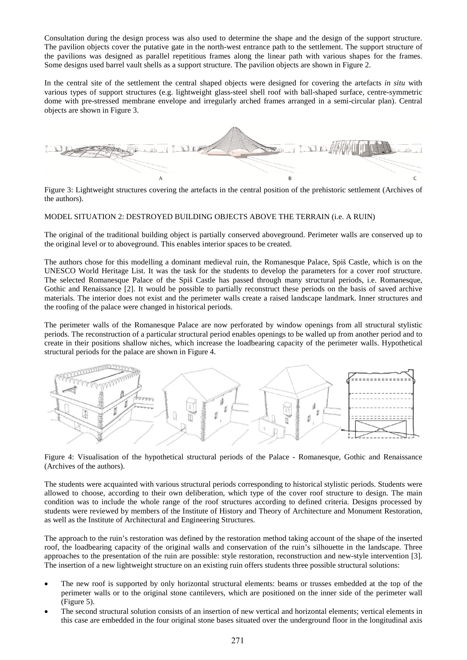Consultation during the design process was also used to determine the shape and the design of the support structure. The pavilion objects cover the putative gate in the north-west entrance path to the settlement. The support structure of the pavilions was designed as parallel repetitious frames along the linear path with various shapes for the frames. Some designs used barrel vault shells as a support structure. The pavilion objects are shown in Figure 2.

In the central site of the settlement the central shaped objects were designed for covering the artefacts *in situ* with various types of support structures (e.g. lightweight glass-steel shell roof with ball-shaped surface, centre-symmetric dome with pre-stressed membrane envelope and irregularly arched frames arranged in a semi-circular plan). Central objects are shown in Figure 3.



Figure 3: Lightweight structures covering the artefacts in the central position of the prehistoric settlement (Archives of the authors).

## MODEL SITUATION 2: DESTROYED BUILDING OBJECTS ABOVE THE TERRAIN (i.e. A RUIN)

The original of the traditional building object is partially conserved aboveground. Perimeter walls are conserved up to the original level or to aboveground. This enables interior spaces to be created.

The authors chose for this modelling a dominant medieval ruin, the Romanesque Palace, Spiš Castle, which is on the UNESCO World Heritage List. It was the task for the students to develop the parameters for a cover roof structure. The selected Romanesque Palace of the Spiš Castle has passed through many structural periods, i.e. Romanesque, Gothic and Renaissance [2]. It would be possible to partially reconstruct these periods on the basis of saved archive materials. The interior does not exist and the perimeter walls create a raised landscape landmark. Inner structures and the roofing of the palace were changed in historical periods.

The perimeter walls of the Romanesque Palace are now perforated by window openings from all structural stylistic periods. The reconstruction of a particular structural period enables openings to be walled up from another period and to create in their positions shallow niches, which increase the loadbearing capacity of the perimeter walls. Hypothetical structural periods for the palace are shown in Figure 4.



Figure 4: Visualisation of the hypothetical structural periods of the Palace - Romanesque, Gothic and Renaissance (Archives of the authors).

The students were acquainted with various structural periods corresponding to historical stylistic periods. Students were allowed to choose, according to their own deliberation, which type of the cover roof structure to design. The main condition was to include the whole range of the roof structures according to defined criteria. Designs processed by students were reviewed by members of the Institute of History and Theory of Architecture and Monument Restoration, as well as the Institute of Architectural and Engineering Structures.

The approach to the ruin's restoration was defined by the restoration method taking account of the shape of the inserted roof, the loadbearing capacity of the original walls and conservation of the ruin's silhouette in the landscape. Three approaches to the presentation of the ruin are possible: style restoration, reconstruction and new-style intervention [3]. The insertion of a new lightweight structure on an existing ruin offers students three possible structural solutions:

- The new roof is supported by only horizontal structural elements: beams or trusses embedded at the top of the perimeter walls or to the original stone cantilevers, which are positioned on the inner side of the perimeter wall (Figure 5).
- The second structural solution consists of an insertion of new vertical and horizontal elements; vertical elements in this case are embedded in the four original stone bases situated over the underground floor in the longitudinal axis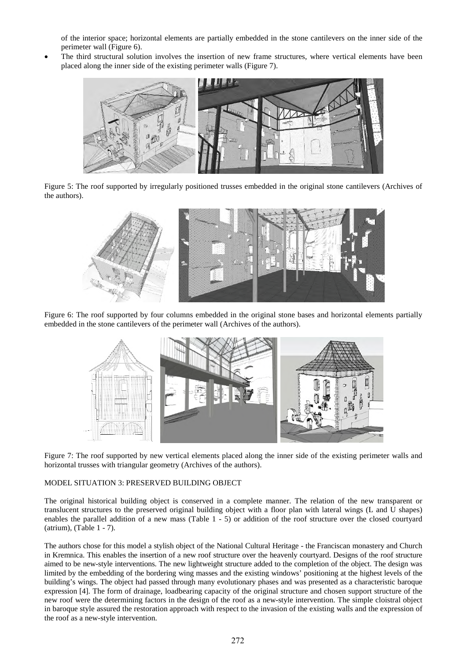of the interior space; horizontal elements are partially embedded in the stone cantilevers on the inner side of the perimeter wall (Figure 6).

 The third structural solution involves the insertion of new frame structures, where vertical elements have been placed along the inner side of the existing perimeter walls (Figure 7).



Figure 5: The roof supported by irregularly positioned trusses embedded in the original stone cantilevers (Archives of the authors).



Figure 6: The roof supported by four columns embedded in the original stone bases and horizontal elements partially embedded in the stone cantilevers of the perimeter wall (Archives of the authors).



Figure 7: The roof supported by new vertical elements placed along the inner side of the existing perimeter walls and horizontal trusses with triangular geometry (Archives of the authors).

## MODEL SITUATION 3: PRESERVED BUILDING OBJECT

The original historical building object is conserved in a complete manner. The relation of the new transparent or translucent structures to the preserved original building object with a floor plan with lateral wings (L and U shapes) enables the parallel addition of a new mass (Table 1 - 5) or addition of the roof structure over the closed courtyard (atrium), (Table 1 - 7).

The authors chose for this model a stylish object of the National Cultural Heritage - the Franciscan monastery and Church in Kremnica. This enables the insertion of a new roof structure over the heavenly courtyard. Designs of the roof structure aimed to be new-style interventions. The new lightweight structure added to the completion of the object. The design was limited by the embedding of the bordering wing masses and the existing windows' positioning at the highest levels of the building's wings. The object had passed through many evolutionary phases and was presented as a characteristic baroque expression [4]. The form of drainage, loadbearing capacity of the original structure and chosen support structure of the new roof were the determining factors in the design of the roof as a new-style intervention. The simple cloistral object in baroque style assured the restoration approach with respect to the invasion of the existing walls and the expression of the roof as a new-style intervention.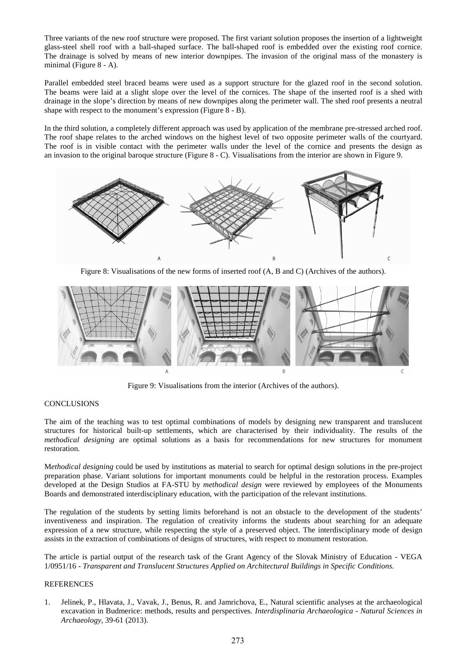Three variants of the new roof structure were proposed. The first variant solution proposes the insertion of a lightweight glass-steel shell roof with a ball-shaped surface. The ball-shaped roof is embedded over the existing roof cornice. The drainage is solved by means of new interior downpipes. The invasion of the original mass of the monastery is minimal (Figure 8 - A).

Parallel embedded steel braced beams were used as a support structure for the glazed roof in the second solution. The beams were laid at a slight slope over the level of the cornices. The shape of the inserted roof is a shed with drainage in the slope's direction by means of new downpipes along the perimeter wall. The shed roof presents a neutral shape with respect to the monument's expression (Figure 8 - B).

In the third solution, a completely different approach was used by application of the membrane pre-stressed arched roof. The roof shape relates to the arched windows on the highest level of two opposite perimeter walls of the courtyard. The roof is in visible contact with the perimeter walls under the level of the cornice and presents the design as an invasion to the original baroque structure (Figure 8 - C). Visualisations from the interior are shown in Figure 9.



Figure 8: Visualisations of the new forms of inserted roof (A, B and C) (Archives of the authors).



Figure 9: Visualisations from the interior (Archives of the authors).

## **CONCLUSIONS**

The aim of the teaching was to test optimal combinations of models by designing new transparent and translucent structures for historical built-up settlements, which are characterised by their individuality. The results of the *methodical designing* are optimal solutions as a basis for recommendations for new structures for monument restoration.

M*ethodical designing* could be used by institutions as material to search for optimal design solutions in the pre-project preparation phase. Variant solutions for important monuments could be helpful in the restoration process. Examples developed at the Design Studios at FA-STU by *methodical design* were reviewed by employees of the Monuments Boards and demonstrated interdisciplinary education, with the participation of the relevant institutions.

The regulation of the students by setting limits beforehand is not an obstacle to the development of the students' inventiveness and inspiration. The regulation of creativity informs the students about searching for an adequate expression of a new structure, while respecting the style of a preserved object. The interdisciplinary mode of design assists in the extraction of combinations of designs of structures, with respect to monument restoration.

The article is partial output of the research task of the Grant Agency of the Slovak Ministry of Education - VEGA 1/0951/16 - *Transparent and Translucent Structures Applied on Architectural Buildings in Specific Conditions*.

## REFERENCES

1. Jelinek, P., Hlavata, J., Vavak, J., Benus, R. and Jamrichova, E., Natural scientific analyses at the archaeological excavation in Budmerice: methods, results and perspectives*. Interdisplinaria Archaeologica* - *Natural Sciences in Archaeology*, 39-61 (2013).